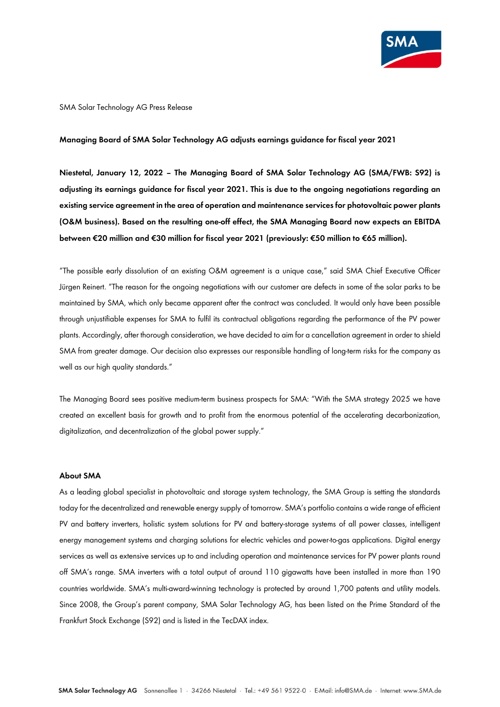

#### SMA Solar Technology AG Press Release

#### **Managing Board of SMA Solar Technology AG adjusts earnings guidance for fiscal year 2021**

**Niestetal, January 12, 2022 – The Managing Board of SMA Solar Technology AG (SMA/FWB: S92) is adjusting its earnings guidance for fiscal year 2021. This is due to the ongoing negotiations regarding an existing service agreement in the area of operation and maintenance services for photovoltaic power plants (O&M business). Based on the resulting one-off effect, the SMA Managing Board now expects an EBITDA between €20 million and €30 million for fiscal year 2021 (previously: €50 million to €65 million).**

"The possible early dissolution of an existing O&M agreement is a unique case," said SMA Chief Executive Officer Jürgen Reinert. "The reason for the ongoing negotiations with our customer are defects in some of the solar parks to be maintained by SMA, which only became apparent after the contract was concluded. It would only have been possible through unjustifiable expenses for SMA to fulfil its contractual obligations regarding the performance of the PV power plants. Accordingly, after thorough consideration, we have decided to aim for a cancellation agreement in order to shield SMA from greater damage. Our decision also expresses our responsible handling of long-term risks for the company as well as our high quality standards."

The Managing Board sees positive medium-term business prospects for SMA: "With the SMA strategy 2025 we have created an excellent basis for growth and to profit from the enormous potential of the accelerating decarbonization, digitalization, and decentralization of the global power supply."

## **About SMA**

As a leading global specialist in photovoltaic and storage system technology, the SMA Group is setting the standards today for the decentralized and renewable energy supply of tomorrow. SMA's portfolio contains a wide range of efficient PV and battery inverters, holistic system solutions for PV and battery-storage systems of all power classes, intelligent energy management systems and charging solutions for electric vehicles and power-to-gas applications. Digital energy services as well as extensive services up to and including operation and maintenance services for PV power plants round off SMA's range. SMA inverters with a total output of around 110 gigawatts have been installed in more than 190 countries worldwide. SMA's multi-award-winning technology is protected by around 1,700 patents and utility models. Since 2008, the Group's parent company, SMA Solar Technology AG, has been listed on the Prime Standard of the Frankfurt Stock Exchange (S92) and is listed in the TecDAX index.